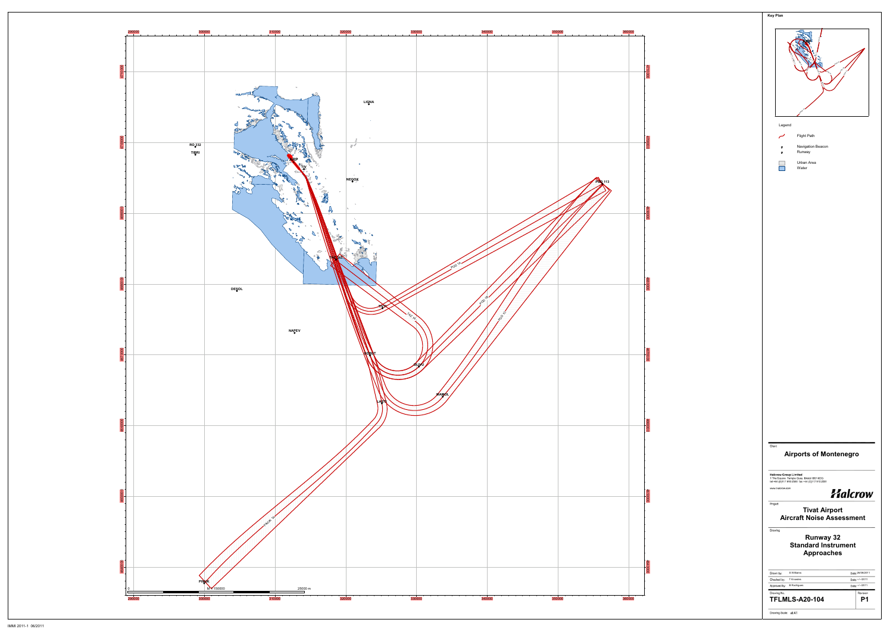

| r.                                                                                                                          |
|-----------------------------------------------------------------------------------------------------------------------------|
|                                                                                                                             |
| Legend                                                                                                                      |
| Flight Path                                                                                                                 |
| Navigation Beacon<br>o<br>Runway<br>o                                                                                       |
| Urban Area                                                                                                                  |
| Water                                                                                                                       |
|                                                                                                                             |
|                                                                                                                             |
|                                                                                                                             |
|                                                                                                                             |
|                                                                                                                             |
|                                                                                                                             |
|                                                                                                                             |
|                                                                                                                             |
|                                                                                                                             |
|                                                                                                                             |
|                                                                                                                             |
|                                                                                                                             |
|                                                                                                                             |
|                                                                                                                             |
|                                                                                                                             |
|                                                                                                                             |
|                                                                                                                             |
|                                                                                                                             |
|                                                                                                                             |
|                                                                                                                             |
|                                                                                                                             |
|                                                                                                                             |
| Client                                                                                                                      |
| <b>Airports of Montenegro</b>                                                                                               |
|                                                                                                                             |
| <b>Halcrow Group Limited</b><br>1 The Square Temple Quay Bristol BS1 6DG<br>tel +44 (0)117 910 2580 fax +44 (0)117 910 2581 |
| www.halcrow.com<br>Halcrow                                                                                                  |
| Project                                                                                                                     |
| <b>Aircraft Noise Assessment</b>                                                                                            |
| Drawing                                                                                                                     |
| Runway 32<br><b>Standard Instrument</b><br><b>Approaches</b>                                                                |
|                                                                                                                             |
| S Williams<br>Date: 26/08/2011<br>Drawn by:                                                                                 |
| Checked by:<br>T Knowles<br>Date: -- /-- /2011<br>Date: -- /-- /2011<br>Approved by:<br><b>B</b> Rodrigues                  |
| Drawing No.<br>Revision<br><b>TFLMLS-A20-104</b><br>P <sub>1</sub>                                                          |
| <b>Tivat Airport</b>                                                                                                        |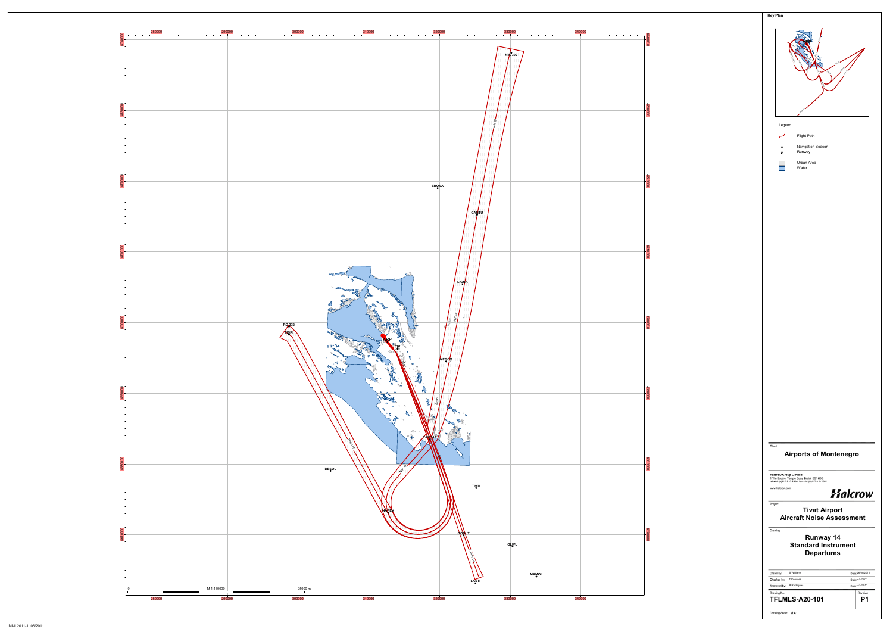

|        | <b>Key Plan</b>                                                                                                             |
|--------|-----------------------------------------------------------------------------------------------------------------------------|
|        | r.                                                                                                                          |
|        |                                                                                                                             |
|        | Legend                                                                                                                      |
|        | Flight Path                                                                                                                 |
|        | Navigation Beacon<br>o<br>Runway<br>o                                                                                       |
|        | Urban Area<br>Water                                                                                                         |
|        |                                                                                                                             |
|        |                                                                                                                             |
|        |                                                                                                                             |
|        |                                                                                                                             |
|        |                                                                                                                             |
|        |                                                                                                                             |
|        |                                                                                                                             |
|        |                                                                                                                             |
|        |                                                                                                                             |
|        |                                                                                                                             |
|        |                                                                                                                             |
|        |                                                                                                                             |
|        |                                                                                                                             |
|        |                                                                                                                             |
|        |                                                                                                                             |
|        |                                                                                                                             |
|        |                                                                                                                             |
|        |                                                                                                                             |
|        |                                                                                                                             |
|        |                                                                                                                             |
|        |                                                                                                                             |
| Client | <b>Airports of Montenegro</b>                                                                                               |
|        | <b>Halcrow Group Limited</b><br>1 The Square Temple Quay Bristol BS1 6DG<br>tel +44 (0)117 910 2580 fax +44 (0)117 910 2581 |
|        | www.halcrow.com<br>Halcrow                                                                                                  |
|        | Project                                                                                                                     |
|        |                                                                                                                             |
|        | <b>Tivat Airport</b><br><b>Aircraft Noise Assessment</b>                                                                    |
|        | Drawing                                                                                                                     |
|        | Runway 14<br><b>Standard Instrument</b><br><b>Departures</b>                                                                |
|        | S Williams<br>Date: 26/08/2011<br>Drawn by:                                                                                 |
|        | Checked by:<br>T Knowles<br>Date: -- /-- /2011<br>Date: -- /-- /2011<br>Approved by:<br><b>B</b> Rodrigues                  |
|        | Drawing No.<br>Revision<br><b>TFLMLS-A20-101</b><br>P <sub>1</sub>                                                          |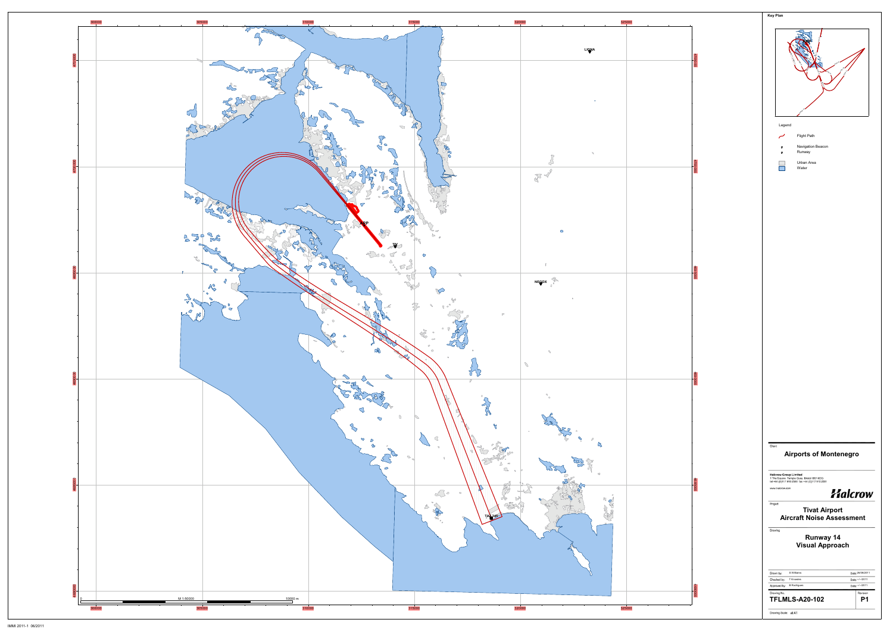

|         | Key Plan                                                                                                                                                                                                                                                                                                                             |
|---------|--------------------------------------------------------------------------------------------------------------------------------------------------------------------------------------------------------------------------------------------------------------------------------------------------------------------------------------|
| 4705000 |                                                                                                                                                                                                                                                                                                                                      |
| 470000C | Legend<br>Flight Path<br>Navigation Beacon<br>a<br>Runway<br>o<br>Urban Area<br>Water                                                                                                                                                                                                                                                |
|         |                                                                                                                                                                                                                                                                                                                                      |
| 100969  |                                                                                                                                                                                                                                                                                                                                      |
| 4690000 |                                                                                                                                                                                                                                                                                                                                      |
| 4685000 | Client<br><b>Airports of Montenegro</b><br><b>Halcrow Group Limited</b><br>1 The Square Temple Quay Bristol BS1 6DG<br>tel +44 (0)117 910 2580 fax +44 (0)117 910 2581<br>www.halcrow.com<br><b>Halcrow</b><br>Project<br><b>Tivat Airport</b><br><b>Aircraft Noise Assessment</b><br>Drawing<br>Runway 14<br><b>Visual Approach</b> |
| 4680000 | S Williams<br>Date: 26/08/2011<br>Drawn by:<br>Checked by:<br>T Knowles<br>Date: -- /-- /2011<br>Approved by:<br><b>B</b> Rodrigues<br>Date: -/--/2011<br>Drawing No.<br>Revision<br><b>TFLMLS-A20-102</b><br>P1<br>Drawing Scale: at A1                                                                                             |